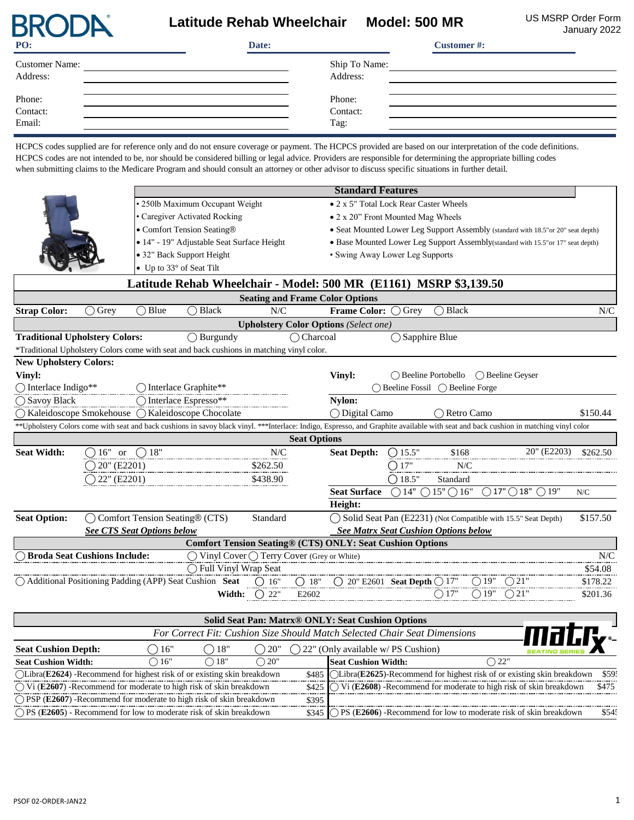## Latitude Rehab Wheelchair Model: 500 MR<br>Cation of the Magnetic Model: 500 MR

January 2022

| PO:                               | Date: |                            | <b>Customer#:</b> |
|-----------------------------------|-------|----------------------------|-------------------|
| <b>Customer Name:</b><br>Address: |       | Ship To Name:<br>Address:  |                   |
| Phone:<br>Contact:<br>Email:      |       | Phone:<br>Contact:<br>Tag: |                   |

HCPCS codes supplied are for reference only and do not ensure coverage or payment. The HCPCS provided are based on our interpretation of the code definitions. HCPCS codes are not intended to be, nor should be considered billing or legal advice. Providers are responsible for determining the appropriate billing codes when submitting claims to the Medicare Program and should consult an attorney or other advisor to discuss specific situations in further detail.

| <b>Standard Features</b>              |                                     |                                 |                                                                                                                                                                                                                                                               |          |                                        |                                                                       |                 |                                                  |                                                                                           |             |          |
|---------------------------------------|-------------------------------------|---------------------------------|---------------------------------------------------------------------------------------------------------------------------------------------------------------------------------------------------------------------------------------------------------------|----------|----------------------------------------|-----------------------------------------------------------------------|-----------------|--------------------------------------------------|-------------------------------------------------------------------------------------------|-------------|----------|
|                                       |                                     | • 250lb Maximum Occupant Weight |                                                                                                                                                                                                                                                               |          | • 2 x 5" Total Lock Rear Caster Wheels |                                                                       |                 |                                                  |                                                                                           |             |          |
|                                       |                                     |                                 | · Caregiver Activated Rocking                                                                                                                                                                                                                                 |          |                                        | • 2 x 20" Front Mounted Mag Wheels                                    |                 |                                                  |                                                                                           |             |          |
|                                       |                                     |                                 | • Comfort Tension Seating®                                                                                                                                                                                                                                    |          |                                        |                                                                       |                 |                                                  | • Seat Mounted Lower Leg Support Assembly (standard with 18.5" or 20" seat depth)         |             |          |
|                                       |                                     |                                 | · 14" - 19" Adjustable Seat Surface Height                                                                                                                                                                                                                    |          |                                        |                                                                       |                 |                                                  | • Base Mounted Lower Leg Support Assembly(standard with 15.5" or 17" seat depth)          |             |          |
|                                       |                                     |                                 | • 32" Back Support Height                                                                                                                                                                                                                                     |          |                                        | • Swing Away Lower Leg Supports                                       |                 |                                                  |                                                                                           |             |          |
|                                       |                                     |                                 | • Up to 33° of Seat Tilt                                                                                                                                                                                                                                      |          |                                        |                                                                       |                 |                                                  |                                                                                           |             |          |
|                                       |                                     |                                 | Latitude Rehab Wheelchair - Model: 500 MR (E1161) MSRP \$3,139.50                                                                                                                                                                                             |          |                                        |                                                                       |                 |                                                  |                                                                                           |             |          |
|                                       |                                     |                                 |                                                                                                                                                                                                                                                               |          |                                        | <b>Seating and Frame Color Options</b>                                |                 |                                                  |                                                                                           |             |          |
| <b>Strap Color:</b>                   | $\bigcirc$ Grey                     | $\bigcirc$ Blue                 | <b>Black</b>                                                                                                                                                                                                                                                  | N/C      |                                        | <b>Frame Color:</b>                                                   | $\bigcap$ Grey  | $\bigcap$ Black                                  |                                                                                           |             | N/C      |
|                                       |                                     |                                 |                                                                                                                                                                                                                                                               |          |                                        | <b>Upholstery Color Options (Select one)</b>                          |                 |                                                  |                                                                                           |             |          |
| <b>Traditional Upholstery Colors:</b> |                                     |                                 | $\bigcirc$ Burgundy                                                                                                                                                                                                                                           |          | $\bigcap$ Charcoal                     |                                                                       |                 | $\bigcirc$ Sapphire Blue                         |                                                                                           |             |          |
|                                       |                                     |                                 | *Traditional Upholstery Colors come with seat and back cushions in matching vinyl color.                                                                                                                                                                      |          |                                        |                                                                       |                 |                                                  |                                                                                           |             |          |
| <b>New Upholstery Colors:</b>         |                                     |                                 |                                                                                                                                                                                                                                                               |          |                                        |                                                                       |                 |                                                  |                                                                                           |             |          |
| Vinyl:                                |                                     |                                 |                                                                                                                                                                                                                                                               |          |                                        | Vinyl:<br>$\bigcap$ Beeline Portobello<br>$\bigcap$ Beeline Geyser    |                 |                                                  |                                                                                           |             |          |
| O Interlace Indigo**                  |                                     |                                 | O Interlace Graphite**                                                                                                                                                                                                                                        |          |                                        |                                                                       |                 | $\bigcap$ Beeline Fossil $\bigcap$ Beeline Forge |                                                                                           |             |          |
| () Savoy Black                        |                                     |                                 | $\bigcirc$ Interlace Espresso**                                                                                                                                                                                                                               |          |                                        | Nylon:                                                                |                 |                                                  |                                                                                           |             |          |
|                                       |                                     |                                 | ○ Kaleidoscope Smokehouse ○ Kaleidoscope Chocolate                                                                                                                                                                                                            |          |                                        | ◯ Digital Camo                                                        |                 | ○ Retro Camo                                     |                                                                                           |             | \$150.44 |
|                                       |                                     |                                 | **Upholstery Colors come with seat and back cushions in savoy black vinyl. ***Interlace: Indigo, Espresso, and Graphite available with seat and back cushion in matching vinyl color                                                                          |          |                                        |                                                                       |                 |                                                  |                                                                                           |             |          |
|                                       |                                     |                                 |                                                                                                                                                                                                                                                               |          | <b>Seat Options</b>                    |                                                                       |                 |                                                  |                                                                                           |             |          |
| <b>Seat Width:</b>                    | $\bigcirc 16"$ or $\bigcirc 18"$    |                                 |                                                                                                                                                                                                                                                               | N/C      |                                        | <b>Seat Depth:</b>                                                    | $O$ 15.5"       | \$168                                            |                                                                                           | 20" (E2203) | \$262.50 |
|                                       | $\overline{O}$ 20" (E2201)          |                                 |                                                                                                                                                                                                                                                               | \$262.50 |                                        |                                                                       | $\bigcirc$ 17"  | N/C                                              |                                                                                           |             |          |
|                                       | $O(22^{\circ}$ (E2201)              |                                 |                                                                                                                                                                                                                                                               | \$438.90 |                                        |                                                                       | $\bigcap$ 18.5" | Standard                                         |                                                                                           |             |          |
|                                       |                                     |                                 |                                                                                                                                                                                                                                                               |          |                                        | <b>Seat Surface</b>                                                   |                 |                                                  | $\bigcirc$ 14" $\bigcirc$ 15" $\bigcirc$ 16" $\bigcirc$ 17" $\bigcirc$ 18" $\bigcirc$ 19" |             | N/C      |
|                                       |                                     |                                 |                                                                                                                                                                                                                                                               |          |                                        | Height:                                                               |                 |                                                  |                                                                                           |             |          |
| <b>Seat Option:</b>                   |                                     |                                 | Comfort Tension Seating® (CTS)                                                                                                                                                                                                                                | Standard |                                        |                                                                       |                 |                                                  | ◯ Solid Seat Pan (E2231) (Not Compatible with 15.5" Seat Depth)                           |             | \$157.50 |
|                                       | <b>See CTS Seat Options below</b>   |                                 |                                                                                                                                                                                                                                                               |          |                                        |                                                                       |                 | <b>See Matrx Seat Cushion Options below</b>      |                                                                                           |             |          |
|                                       |                                     |                                 | <b>Comfort Tension Seating® (CTS) ONLY: Seat Cushion Options</b>                                                                                                                                                                                              |          |                                        |                                                                       |                 |                                                  |                                                                                           |             |          |
|                                       | <b>Broda Seat Cushions Include:</b> |                                 | $\bigcirc$ Vinyl Cover $\bigcirc$ Terry Cover (Grey or White)                                                                                                                                                                                                 |          |                                        |                                                                       |                 |                                                  |                                                                                           |             | N/C      |
|                                       |                                     |                                 | ◯ Full Vinyl Wrap Seat                                                                                                                                                                                                                                        |          |                                        |                                                                       |                 |                                                  |                                                                                           |             | \$54.08  |
|                                       |                                     |                                 | $\bigcirc$ Additional Positioning Padding (APP) Seat Cushion<br>Width: $\bigcirc$ 26" $\bigcirc$ 21" $\bigcirc$ 20" E2601 Seat Depth $\bigcirc$ 17" $\bigcirc$ 19" $\bigcirc$ 21"<br>Width: $\bigcirc$ 22" E2602 $\bigcirc$ 17" $\bigcirc$ 19" $\bigcirc$ 21" |          |                                        |                                                                       |                 |                                                  |                                                                                           |             | \$178.22 |
|                                       |                                     |                                 |                                                                                                                                                                                                                                                               |          |                                        |                                                                       |                 |                                                  |                                                                                           |             | \$201.36 |
|                                       |                                     |                                 |                                                                                                                                                                                                                                                               |          |                                        | <b>Solid Seat Pan: Matrx® ONLY: Seat Cushion Options</b>              |                 |                                                  |                                                                                           |             |          |
|                                       |                                     | $\mathbf{r}$<br>$\sqrt{ }$      |                                                                                                                                                                                                                                                               |          |                                        | $F: G \cup G$ is $G$ and $H M \cup I G$ is $I \cap G$ is $G \cap G$ . |                 |                                                  |                                                                                           |             |          |

|                                                                                   |                |                        |                      |       | Solid Seat Pan: Matrx® ONL i : Seat Cushion Options                              |               |               |         |
|-----------------------------------------------------------------------------------|----------------|------------------------|----------------------|-------|----------------------------------------------------------------------------------|---------------|---------------|---------|
|                                                                                   |                |                        |                      |       | For Correct Fit: Cushion Size Should Match Selected Chair Seat Dimensions        |               | <b>THEIRY</b> |         |
| <b>Seat Cushion Depth:</b>                                                        | 16"            | $\left($ $\right)$ 18" | $\left( \right)$ 20" |       | 22" (Only available w/ PS Cushion)                                               |               |               |         |
| <b>Seat Cushion Width:</b>                                                        | $\bigcirc$ 16" | ◯ 18"                  | $\bigcirc$ 20"       |       | <b>Seat Cushion Width:</b>                                                       | $\bigcap 22"$ |               |         |
| $\bigcirc$ Libra(E2624) -Recommend for highest risk of or existing skin breakdown |                |                        |                      |       | \$485 [OLibra(E2625)-Recommend for highest risk of or existing skin breakdown    |               |               | \$59.   |
| $\bigcirc$ Vi (E2607) -Recommend for moderate to high risk of skin breakdown      |                |                        |                      |       | \$425   Vi (E2608) -Recommend for moderate to high risk of skin breakdown        |               |               | \$475   |
| $\bigcirc$ PSP (E2607) -Recommend for moderate to high risk of skin breakdown     |                |                        |                      | \$395 |                                                                                  |               |               |         |
| $\bigcap$ PS (E2605) - Recommend for low to moderate risk of skin breakdown       |                |                        |                      |       | \$345 $\bigcap$ PS (E2606) -Recommend for low to moderate risk of skin breakdown |               |               | $$54$ : |

**BRODA**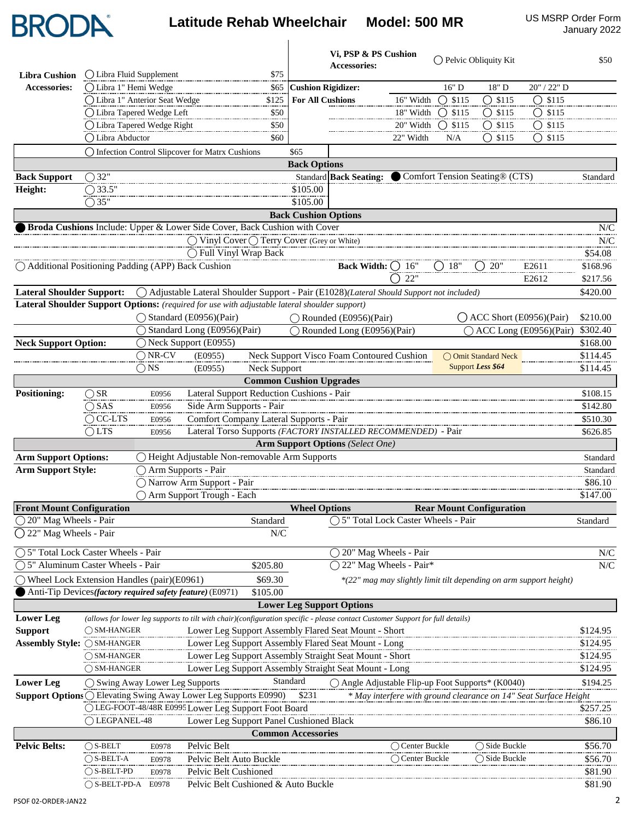## Latitude Rehab Wheelchair Model: 500 MR US MSRP Order Form

|                                                                                                                                                      |                                                                                                                               |                  |                                                                                         |                                                        |                             | Vi, PSP & PS Cushion<br>Accessories:      |                                                                    |                  | ◯ Pelvic Obliquity Kit          |                             | \$50                     |
|------------------------------------------------------------------------------------------------------------------------------------------------------|-------------------------------------------------------------------------------------------------------------------------------|------------------|-----------------------------------------------------------------------------------------|--------------------------------------------------------|-----------------------------|-------------------------------------------|--------------------------------------------------------------------|------------------|---------------------------------|-----------------------------|--------------------------|
| <b>Libra Cushion</b>                                                                                                                                 | O Libra Fluid Supplement                                                                                                      |                  |                                                                                         | \$75                                                   |                             |                                           |                                                                    |                  |                                 |                             |                          |
| Accessories:                                                                                                                                         | ○ Libra 1" Hemi Wedge                                                                                                         |                  |                                                                                         | \$65                                                   | <b>Cushion Rigidizer:</b>   |                                           |                                                                    | 16" D            | 18" D                           | 20" / 22" D                 |                          |
|                                                                                                                                                      | ◯ Libra 1" Anterior Seat Wedge                                                                                                |                  |                                                                                         | \$125                                                  | <b>For All Cushions</b>     |                                           | 16" Width                                                          | $O$ \$115        | $\bigcirc$ \$115                | $O$ \$115                   |                          |
|                                                                                                                                                      | ◯ Libra Tapered Wedge Left                                                                                                    |                  |                                                                                         | \$50<br>                                               |                             |                                           | 18" Width                                                          | $O$ \$115        | $O$ \$115                       | $O$ \$115                   |                          |
|                                                                                                                                                      | ◯ Libra Tapered Wedge Right                                                                                                   |                  |                                                                                         | \$50                                                   |                             |                                           | 20" Width                                                          | $\bigcirc$ \$115 | $O$ \$115                       | $O$ \$115                   |                          |
|                                                                                                                                                      | ◯ Libra Abductor                                                                                                              |                  |                                                                                         | \$60                                                   |                             |                                           | 22" Width                                                          | N/A              | $\bigcirc$ \$115                | $\bigcirc$ \$115            |                          |
|                                                                                                                                                      | ○ Infection Control Slipcover for Matrx Cushions                                                                              |                  |                                                                                         |                                                        | \$65                        |                                           |                                                                    |                  |                                 |                             |                          |
|                                                                                                                                                      |                                                                                                                               |                  |                                                                                         |                                                        | <b>Back Options</b>         |                                           |                                                                    |                  |                                 |                             |                          |
| <b>Back Support</b>                                                                                                                                  | $\bigcirc$ 32"                                                                                                                |                  |                                                                                         |                                                        |                             | <b>Standard Back Seating:</b>             |                                                                    |                  | Comfort Tension Seating® (CTS)  |                             | Standard                 |
| Height:                                                                                                                                              | $\bigcirc$ 33.5"<br>$\bigcirc$ 35"                                                                                            |                  |                                                                                         |                                                        | \$105.00<br>\$105.00        |                                           |                                                                    |                  |                                 |                             |                          |
|                                                                                                                                                      |                                                                                                                               |                  |                                                                                         |                                                        |                             |                                           |                                                                    |                  |                                 |                             |                          |
|                                                                                                                                                      | Broda Cushions Include: Upper & Lower Side Cover, Back Cushion with Cover                                                     |                  |                                                                                         |                                                        | <b>Back Cushion Options</b> |                                           |                                                                    |                  |                                 |                             | N/C                      |
|                                                                                                                                                      |                                                                                                                               |                  |                                                                                         | ◯ Vinyl Cover (Terry Cover (Grey or White)             |                             |                                           |                                                                    |                  |                                 |                             | N/C                      |
|                                                                                                                                                      |                                                                                                                               |                  | ◯ Full Vinyl Wrap Back                                                                  |                                                        |                             |                                           |                                                                    |                  |                                 |                             | \$54.08                  |
| $\bigcap$ Additional Positioning Padding (APP) Back Cushion                                                                                          |                                                                                                                               |                  |                                                                                         |                                                        |                             | <b>Back Width:</b>                        | $\bigcup~16"$                                                      | ()18"            | 20"                             | E2611                       | \$168.96                 |
|                                                                                                                                                      |                                                                                                                               |                  |                                                                                         |                                                        |                             |                                           | 22"                                                                |                  |                                 | E2612                       | \$217.56                 |
| <b>Lateral Shoulder Support:</b>                                                                                                                     |                                                                                                                               |                  | Adjustable Lateral Shoulder Support - Pair (E1028)(Lateral Should Support not included) |                                                        |                             |                                           |                                                                    |                  |                                 |                             | \$420.00                 |
| Lateral Shoulder Support Options: (required for use with adjustable lateral shoulder support)                                                        |                                                                                                                               |                  |                                                                                         |                                                        |                             |                                           |                                                                    |                  |                                 |                             |                          |
|                                                                                                                                                      |                                                                                                                               |                  | ◯ Standard (E0956)(Pair)                                                                |                                                        |                             | $\bigcap$ Rounded (E0956)(Pair)           |                                                                    |                  |                                 | $($ ACC Short (E0956)(Pair) | \$210.00                 |
|                                                                                                                                                      |                                                                                                                               |                  | Standard Long (E0956)(Pair)                                                             |                                                        |                             | Rounded Long (E0956)(Pair)                |                                                                    |                  |                                 | ◯ ACC Long (E0956)(Pair)    | \$302.40                 |
| <b>Neck Support Option:</b>                                                                                                                          |                                                                                                                               |                  | ◯ Neck Support (E0955)                                                                  |                                                        |                             |                                           |                                                                    |                  |                                 |                             | \$168.00                 |
|                                                                                                                                                      |                                                                                                                               | $\bigcirc$ NR-CV | (E0955)                                                                                 |                                                        |                             | Neck Support Visco Foam Contoured Cushion |                                                                    |                  | ◯ Omit Standard Neck            |                             | \$114.45                 |
|                                                                                                                                                      |                                                                                                                               | $\bigcirc$ NS    | (E0955)                                                                                 | <b>Neck Support</b>                                    |                             |                                           |                                                                    |                  | Support Less \$64               |                             | \$114.45                 |
|                                                                                                                                                      |                                                                                                                               |                  |                                                                                         | <b>Common Cushion Upgrades</b>                         |                             |                                           |                                                                    |                  |                                 |                             |                          |
| <b>Positioning:</b>                                                                                                                                  | $\bigcirc$ SR                                                                                                                 | E0956            |                                                                                         | Lateral Support Reduction Cushions - Pair              |                             |                                           |                                                                    |                  |                                 |                             | \$108.15                 |
|                                                                                                                                                      | $\bigcirc$ SAS                                                                                                                | E0956            | Side Arm Supports - Pair                                                                |                                                        |                             |                                           |                                                                    |                  |                                 |                             | \$142.80                 |
|                                                                                                                                                      | $\overline{OC}$ -LTS                                                                                                          | E0956            |                                                                                         | Comfort Company Lateral Supports - Pair                |                             |                                           |                                                                    |                  |                                 |                             | \$510.30                 |
|                                                                                                                                                      | $\bigcirc$ LTS                                                                                                                | E0956            |                                                                                         |                                                        |                             |                                           | Lateral Torso Supports (FACTORY INSTALLED RECOMMENDED) - Pair      |                  |                                 |                             | \$626.85                 |
|                                                                                                                                                      |                                                                                                                               |                  |                                                                                         |                                                        |                             | <b>Arm Support Options (Select One)</b>   |                                                                    |                  |                                 |                             |                          |
| <b>Arm Support Options:</b>                                                                                                                          |                                                                                                                               |                  | Height Adjustable Non-removable Arm Supports                                            |                                                        |                             |                                           |                                                                    |                  |                                 |                             | Standard                 |
| <b>Arm Support Style:</b>                                                                                                                            |                                                                                                                               |                  | ◯ Arm Supports - Pair<br>Narrow Arm Support - Pair                                      |                                                        |                             |                                           |                                                                    |                  |                                 |                             | Standard<br>\$86.10      |
|                                                                                                                                                      |                                                                                                                               |                  | ○ Arm Support Trough - Each                                                             |                                                        |                             |                                           |                                                                    |                  |                                 |                             | \$147.00                 |
| <b>Front Mount Configuration</b><br>20" Mag Wheels - Pair                                                                                            |                                                                                                                               |                  |                                                                                         | Standard                                               | <b>Wheel Options</b>        |                                           | ○ 5" Total Lock Caster Wheels - Pair                               |                  | <b>Rear Mount Configuration</b> |                             | Standard                 |
| ◯ 22" Mag Wheels - Pair                                                                                                                              |                                                                                                                               |                  |                                                                                         | N/C                                                    |                             |                                           |                                                                    |                  |                                 |                             |                          |
|                                                                                                                                                      |                                                                                                                               |                  |                                                                                         |                                                        |                             |                                           |                                                                    |                  |                                 |                             |                          |
| ◯ 5" Total Lock Caster Wheels - Pair                                                                                                                 |                                                                                                                               |                  |                                                                                         |                                                        |                             |                                           | ◯ 20" Mag Wheels - Pair                                            |                  |                                 |                             | N/C                      |
|                                                                                                                                                      | ) 5" Aluminum Caster Wheels - Pair                                                                                            |                  |                                                                                         | \$205.80                                               |                             |                                           | 22" Mag Wheels - Pair*                                             |                  |                                 |                             | ${\rm N\hspace{-1pt}}/C$ |
| ◯ Wheel Lock Extension Handles (pair)(E0961)                                                                                                         | Anti-Tip Devices(factory required safety feature) (E0971)                                                                     |                  |                                                                                         | \$69.30<br>\$105.00                                    |                             |                                           | *(22" mag may slightly limit tilt depending on arm support height) |                  |                                 |                             |                          |
|                                                                                                                                                      |                                                                                                                               |                  |                                                                                         |                                                        |                             | <b>Lower Leg Support Options</b>          |                                                                    |                  |                                 |                             |                          |
| <b>Lower Leg</b>                                                                                                                                     | (allows for lower leg supports to tilt with chair)(configuration specific - please contact Customer Support for full details) |                  |                                                                                         |                                                        |                             |                                           |                                                                    |                  |                                 |                             |                          |
| <b>Support</b>                                                                                                                                       | $\bigcap$ SM-HANGER                                                                                                           |                  |                                                                                         | Lower Leg Support Assembly Flared Seat Mount - Short   |                             |                                           |                                                                    |                  |                                 |                             | \$124.95                 |
| Assembly Style: ○ SM-HANGER                                                                                                                          |                                                                                                                               |                  |                                                                                         | Lower Leg Support Assembly Flared Seat Mount - Long    |                             |                                           |                                                                    |                  |                                 |                             | \$124.95                 |
|                                                                                                                                                      | ◯ SM-HANGER                                                                                                                   |                  |                                                                                         | Lower Leg Support Assembly Straight Seat Mount - Short |                             |                                           |                                                                    |                  |                                 |                             | \$124.95                 |
|                                                                                                                                                      | $\bigcirc$ SM-HANGER                                                                                                          |                  |                                                                                         | Lower Leg Support Assembly Straight Seat Mount - Long  |                             |                                           |                                                                    |                  |                                 |                             | \$124.95                 |
| <b>Lower Leg</b>                                                                                                                                     | ◯ Swing Away Lower Leg Supports                                                                                               |                  |                                                                                         |                                                        | Standard                    |                                           | $\bigcirc$ Angle Adjustable Flip-up Foot Supports* (K0040)         |                  |                                 |                             | \$194.25                 |
| <b>Support Options O Elevating Swing Away Lower Leg Supports E0990)</b><br>\$231<br>* May interfere with ground clearance on 14" Seat Surface Height |                                                                                                                               |                  |                                                                                         |                                                        |                             |                                           |                                                                    |                  |                                 |                             |                          |
|                                                                                                                                                      | OLEG-FOOT-48/48R E0995 Lower Leg Support Foot Board                                                                           |                  |                                                                                         |                                                        |                             |                                           |                                                                    |                  |                                 |                             | \$257.25                 |
|                                                                                                                                                      | ()LEGPANEL-48                                                                                                                 |                  |                                                                                         | Lower Leg Support Panel Cushioned Black                |                             |                                           |                                                                    |                  |                                 |                             | \$86.10                  |
|                                                                                                                                                      |                                                                                                                               |                  |                                                                                         |                                                        | <b>Common Accessories</b>   |                                           |                                                                    |                  |                                 |                             |                          |
| <b>Pelvic Belts:</b>                                                                                                                                 | $\bigcirc$ S-BELT                                                                                                             | E0978            | Pelvic Belt                                                                             |                                                        |                             |                                           | $\bigcirc$ Center Buckle                                           |                  | $\bigcirc$ Side Buckle          |                             | \$56.70                  |
|                                                                                                                                                      | $\bigcirc$ S-BELT-A                                                                                                           | E0978            | Pelvic Belt Auto Buckle                                                                 |                                                        |                             |                                           | $\bigcirc$ Center Buckle                                           |                  | $\bigcirc$ Side Buckle          |                             | \$56.70                  |
|                                                                                                                                                      | $\bigcirc$ S-BELT-PD                                                                                                          | E0978            | Pelvic Belt Cushioned                                                                   |                                                        |                             |                                           |                                                                    |                  |                                 |                             | \$81.90                  |
|                                                                                                                                                      | $O$ S-BELT-PD-A E0978                                                                                                         |                  |                                                                                         | Pelvic Belt Cushioned & Auto Buckle                    |                             |                                           |                                                                    |                  |                                 |                             | \$81.90                  |

**BRODA**